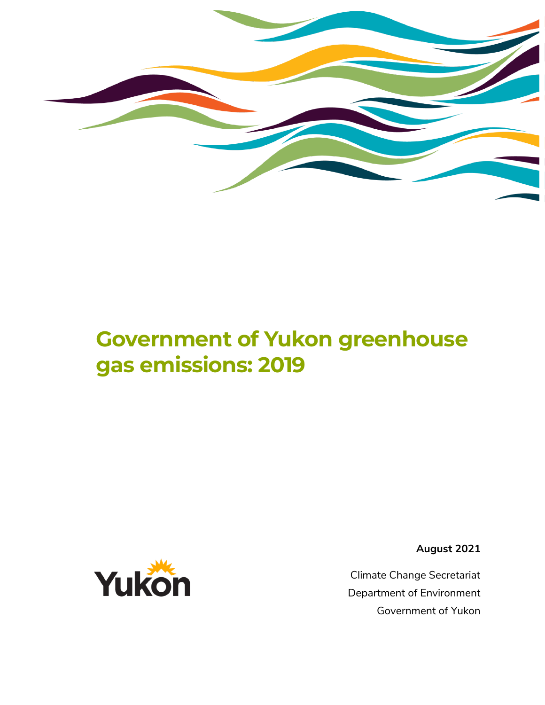

# **Government of Yukon greenhouse gas emissions: 2019**



**August 2021**

Climate Change Secretariat Department of Environment Government of Yukon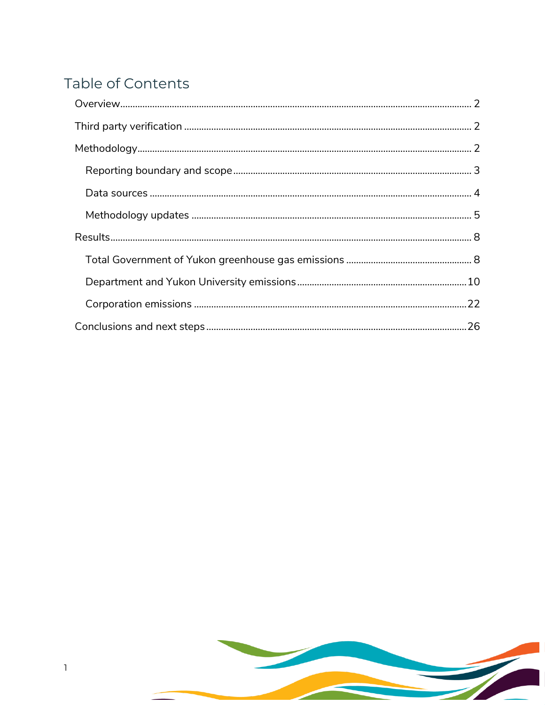## Table of Contents

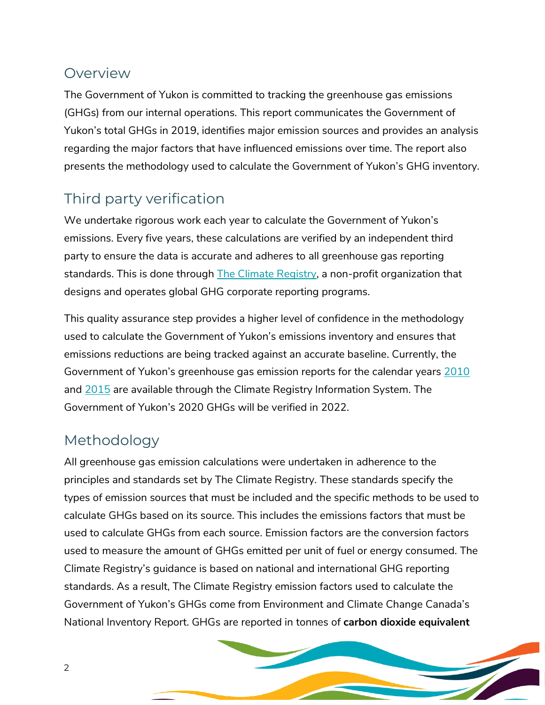## <span id="page-2-0"></span>Overview

The Government of Yukon is committed to tracking the greenhouse gas emissions (GHGs) from our internal operations. This report communicates the Government of Yukon's total GHGs in 2019, identifies major emission sources and provides an analysis regarding the major factors that have influenced emissions over time. The report also presents the methodology used to calculate the Government of Yukon's GHG inventory.

## <span id="page-2-1"></span>Third party verification

We undertake rigorous work each year to calculate the Government of Yukon's emissions. Every five years, these calculations are verified by an independent third party to ensure the data is accurate and adheres to all greenhouse gas reporting standards. This is done through [The Climate Registry,](https://www.theclimateregistry.org/) a non-profit organization that designs and operates global GHG corporate reporting programs.

This quality assurance step provides a higher level of confidence in the methodology used to calculate the Government of Yukon's emissions inventory and ensures that emissions reductions are being tracked against an accurate baseline. Currently, the Government of Yukon's greenhouse gas emission reports for the calendar years [2010](https://www.cris4.org/frmPublicReport.aspx?reportID=24sK1CnmHgcgOKkrCw9Jvg%3d%3d®ion=0&detail=1&boundary=0) and [2015](https://www.cris4.org/frmPublicReport.aspx?reportID=2h9W3NP9LD%2b8ZI95KlCiBg%3d%3d®ion=0&detail=1&boundary=0) are available through the Climate Registry Information System. The Government of Yukon's 2020 GHGs will be verified in 2022.

## <span id="page-2-2"></span>Methodology

All greenhouse gas emission calculations were undertaken in adherence to the principles and standards set by The Climate Registry. These standards specify the types of emission sources that must be included and the specific methods to be used to calculate GHGs based on its source. This includes the emissions factors that must be used to calculate GHGs from each source. Emission factors are the conversion factors used to measure the amount of GHGs emitted per unit of fuel or energy consumed. The Climate Registry's guidance is based on national and international GHG reporting standards. As a result, The Climate Registry emission factors used to calculate the Government of Yukon's GHGs come from Environment and Climate Change Canada's National Inventory Report. GHGs are reported in tonnes of **carbon dioxide equivalent**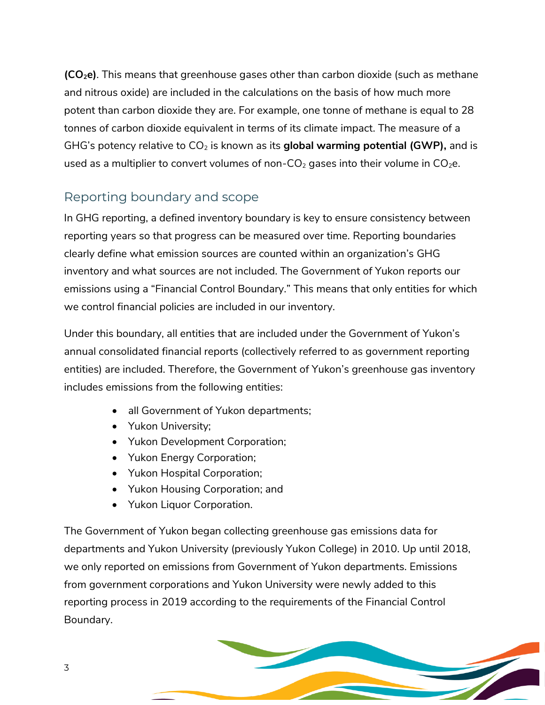**(CO2e)**. This means that greenhouse gases other than carbon dioxide (such as methane and nitrous oxide) are included in the calculations on the basis of how much more potent than carbon dioxide they are. For example, one tonne of methane is equal to 28 tonnes of carbon dioxide equivalent in terms of its climate impact. The measure of a GHG's potency relative to CO<sub>2</sub> is known as its global warming potential (GWP), and is used as a multiplier to convert volumes of non- $CO<sub>2</sub>$  gases into their volume in  $CO<sub>2</sub>e$ .

## <span id="page-3-0"></span>Reporting boundary and scope

In GHG reporting, a defined inventory boundary is key to ensure consistency between reporting years so that progress can be measured over time. Reporting boundaries clearly define what emission sources are counted within an organization's GHG inventory and what sources are not included. The Government of Yukon reports our emissions using a "Financial Control Boundary." This means that only entities for which we control financial policies are included in our inventory.

Under this boundary, all entities that are included under the Government of Yukon's annual consolidated financial reports (collectively referred to as government reporting entities) are included. Therefore, the Government of Yukon's greenhouse gas inventory includes emissions from the following entities:

- all Government of Yukon departments;
- Yukon University;
- Yukon Development Corporation;
- Yukon Energy Corporation;
- Yukon Hospital Corporation;
- Yukon Housing Corporation; and
- Yukon Liquor Corporation.

The Government of Yukon began collecting greenhouse gas emissions data for departments and Yukon University (previously Yukon College) in 2010. Up until 2018, we only reported on emissions from Government of Yukon departments. Emissions from government corporations and Yukon University were newly added to this reporting process in 2019 according to the requirements of the Financial Control Boundary.

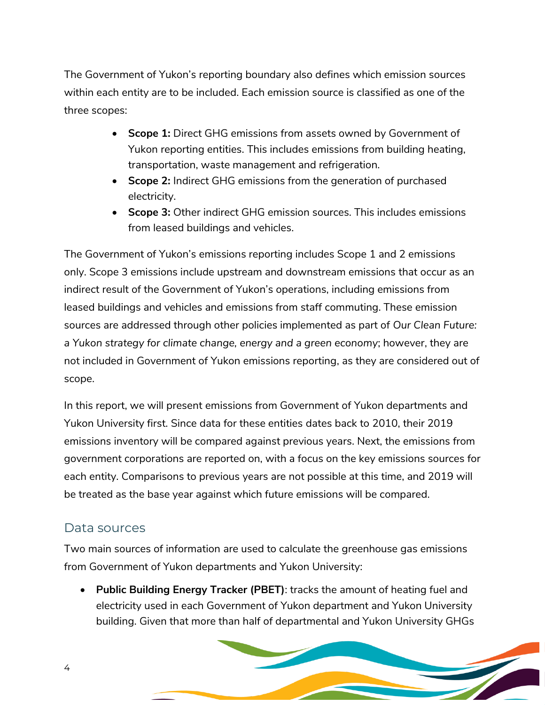The Government of Yukon's reporting boundary also defines which emission sources within each entity are to be included. Each emission source is classified as one of the three scopes:

- **Scope 1:** Direct GHG emissions from assets owned by Government of Yukon reporting entities. This includes emissions from building heating, transportation, waste management and refrigeration.
- **Scope 2:** Indirect GHG emissions from the generation of purchased electricity.
- **Scope 3:** Other indirect GHG emission sources. This includes emissions from leased buildings and vehicles.

The Government of Yukon's emissions reporting includes Scope 1 and 2 emissions only. Scope 3 emissions include upstream and downstream emissions that occur as an indirect result of the Government of Yukon's operations, including emissions from leased buildings and vehicles and emissions from staff commuting. These emission sources are addressed through other policies implemented as part of *Our Clean Future: a Yukon strategy for climate change, energy and a green economy*; however, they are not included in Government of Yukon emissions reporting, as they are considered out of scope.

In this report, we will present emissions from Government of Yukon departments and Yukon University first. Since data for these entities dates back to 2010, their 2019 emissions inventory will be compared against previous years. Next, the emissions from government corporations are reported on, with a focus on the key emissions sources for each entity. Comparisons to previous years are not possible at this time, and 2019 will be treated as the base year against which future emissions will be compared.

## <span id="page-4-0"></span>Data sources

Two main sources of information are used to calculate the greenhouse gas emissions from Government of Yukon departments and Yukon University:

 **Public Building Energy Tracker (PBET)**: tracks the amount of heating fuel and electricity used in each Government of Yukon department and Yukon University building. Given that more than half of departmental and Yukon University GHGs

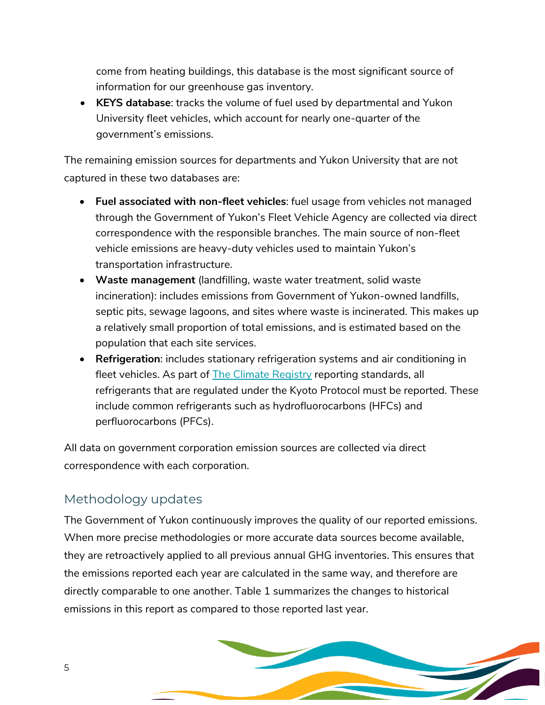come from heating buildings, this database is the most significant source of information for our greenhouse gas inventory.

 **KEYS database**: tracks the volume of fuel used by departmental and Yukon University fleet vehicles, which account for nearly one-quarter of the government's emissions.

The remaining emission sources for departments and Yukon University that are not captured in these two databases are:

- **Fuel associated with non-fleet vehicles**: fuel usage from vehicles not managed through the Government of Yukon's Fleet Vehicle Agency are collected via direct correspondence with the responsible branches. The main source of non-fleet vehicle emissions are heavy-duty vehicles used to maintain Yukon's transportation infrastructure.
- **Waste management** (landfilling, waste water treatment, solid waste incineration): includes emissions from Government of Yukon-owned landfills, septic pits, sewage lagoons, and sites where waste is incinerated. This makes up a relatively small proportion of total emissions, and is estimated based on the population that each site services.
- **Refrigeration**: includes stationary refrigeration systems and air conditioning in fleet vehicles. As part of **The Climate Registry reporting standards**, all refrigerants that are regulated under the Kyoto Protocol must be reported. These include common refrigerants such as hydrofluorocarbons (HFCs) and perfluorocarbons (PFCs).

All data on government corporation emission sources are collected via direct correspondence with each corporation.

## <span id="page-5-0"></span>Methodology updates

The Government of Yukon continuously improves the quality of our reported emissions. When more precise methodologies or more accurate data sources become available, they are retroactively applied to all previous annual GHG inventories. This ensures that the emissions reported each year are calculated in the same way, and therefore are directly comparable to one another. Table 1 summarizes the changes to historical emissions in this report as compared to those reported last year.

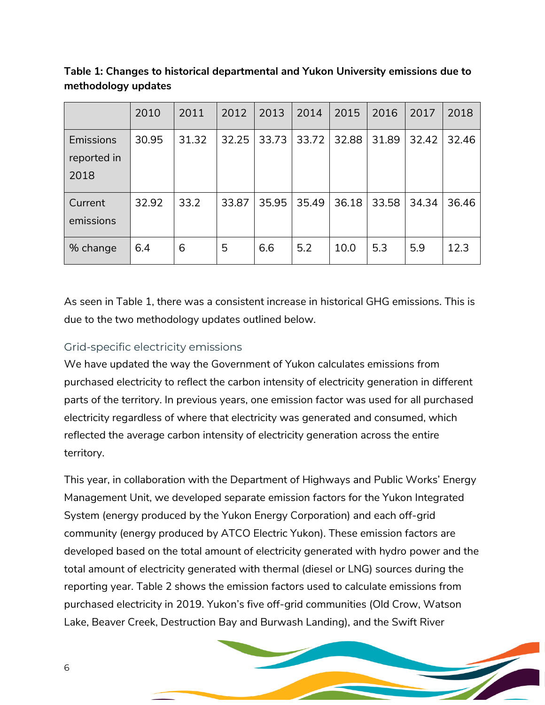|                                  | 2010  | 2011  | 2012  | 2013  | 2014  | 2015  | 2016  | 2017  | 2018  |
|----------------------------------|-------|-------|-------|-------|-------|-------|-------|-------|-------|
| Emissions<br>reported in<br>2018 | 30.95 | 31.32 | 32.25 | 33.73 | 33.72 | 32.88 | 31.89 | 32.42 | 32.46 |
| Current<br>emissions             | 32.92 | 33.2  | 33.87 | 35.95 | 35.49 | 36.18 | 33.58 | 34.34 | 36.46 |
| % change                         | 6.4   | 6     | 5     | 6.6   | 5.2   | 10.0  | 5.3   | 5.9   | 12.3  |

**Table 1: Changes to historical departmental and Yukon University emissions due to methodology updates**

As seen in Table 1, there was a consistent increase in historical GHG emissions. This is due to the two methodology updates outlined below.

#### Grid-specific electricity emissions

We have updated the way the Government of Yukon calculates emissions from purchased electricity to reflect the carbon intensity of electricity generation in different parts of the territory. In previous years, one emission factor was used for all purchased electricity regardless of where that electricity was generated and consumed, which reflected the average carbon intensity of electricity generation across the entire territory.

This year, in collaboration with the Department of Highways and Public Works' Energy Management Unit, we developed separate emission factors for the Yukon Integrated System (energy produced by the Yukon Energy Corporation) and each off-grid community (energy produced by ATCO Electric Yukon). These emission factors are developed based on the total amount of electricity generated with hydro power and the total amount of electricity generated with thermal (diesel or LNG) sources during the reporting year. Table 2 shows the emission factors used to calculate emissions from purchased electricity in 2019. Yukon's five off-grid communities (Old Crow, Watson Lake, Beaver Creek, Destruction Bay and Burwash Landing), and the Swift River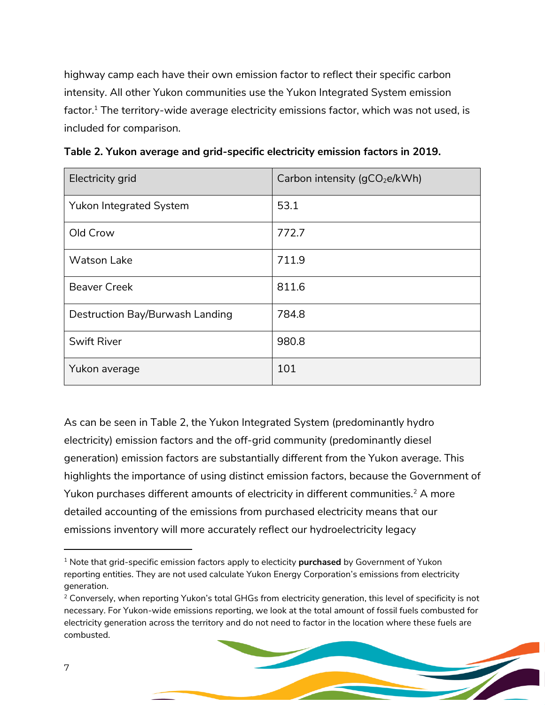highway camp each have their own emission factor to reflect their specific carbon intensity. All other Yukon communities use the Yukon Integrated System emission factor.<sup>1</sup> The territory-wide average electricity emissions factor, which was not used, is included for comparison.

| Electricity grid                | Carbon intensity (gCO <sub>2</sub> e/kWh) |
|---------------------------------|-------------------------------------------|
| Yukon Integrated System         | 53.1                                      |
| Old Crow                        | 772.7                                     |
| <b>Watson Lake</b>              | 711.9                                     |
| <b>Beaver Creek</b>             | 811.6                                     |
| Destruction Bay/Burwash Landing | 784.8                                     |
| <b>Swift River</b>              | 980.8                                     |
| Yukon average                   | 101                                       |

**Table 2. Yukon average and grid-specific electricity emission factors in 2019.** 

As can be seen in Table 2, the Yukon Integrated System (predominantly hydro electricity) emission factors and the off-grid community (predominantly diesel generation) emission factors are substantially different from the Yukon average. This highlights the importance of using distinct emission factors, because the Government of Yukon purchases different amounts of electricity in different communities.<sup>2</sup> A more detailed accounting of the emissions from purchased electricity means that our emissions inventory will more accurately reflect our hydroelectricity legacy

<sup>1</sup> Note that grid-specific emission factors apply to electicity **purchased** by Government of Yukon reporting entities. They are not used calculate Yukon Energy Corporation's emissions from electricity generation.

<sup>&</sup>lt;sup>2</sup> Conversely, when reporting Yukon's total GHGs from electricity generation, this level of specificity is not necessary. For Yukon-wide emissions reporting, we look at the total amount of fossil fuels combusted for electricity generation across the territory and do not need to factor in the location where these fuels are combusted.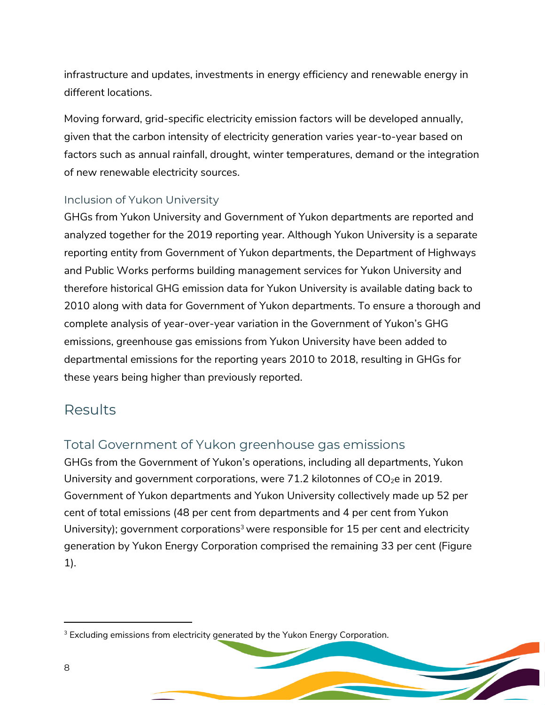infrastructure and updates, investments in energy efficiency and renewable energy in different locations.

Moving forward, grid-specific electricity emission factors will be developed annually, given that the carbon intensity of electricity generation varies year-to-year based on factors such as annual rainfall, drought, winter temperatures, demand or the integration of new renewable electricity sources.

#### Inclusion of Yukon University

GHGs from Yukon University and Government of Yukon departments are reported and analyzed together for the 2019 reporting year. Although Yukon University is a separate reporting entity from Government of Yukon departments, the Department of Highways and Public Works performs building management services for Yukon University and therefore historical GHG emission data for Yukon University is available dating back to 2010 along with data for Government of Yukon departments. To ensure a thorough and complete analysis of year-over-year variation in the Government of Yukon's GHG emissions, greenhouse gas emissions from Yukon University have been added to departmental emissions for the reporting years 2010 to 2018, resulting in GHGs for these years being higher than previously reported.

## <span id="page-8-0"></span>Results

## <span id="page-8-1"></span>Total Government of Yukon greenhouse gas emissions

GHGs from the Government of Yukon's operations, including all departments, Yukon University and government corporations, were  $71.2$  kilotonnes of  $CO<sub>2</sub>e$  in 2019. Government of Yukon departments and Yukon University collectively made up 52 per cent of total emissions (48 per cent from departments and 4 per cent from Yukon University); government corporations<sup>3</sup> were responsible for 15 per cent and electricity generation by Yukon Energy Corporation comprised the remaining 33 per cent [\(Figure](#page-9-0)  [1\)](#page-9-0).

<sup>&</sup>lt;sup>3</sup> Excluding emissions from electricity generated by the Yukon Energy Corporation.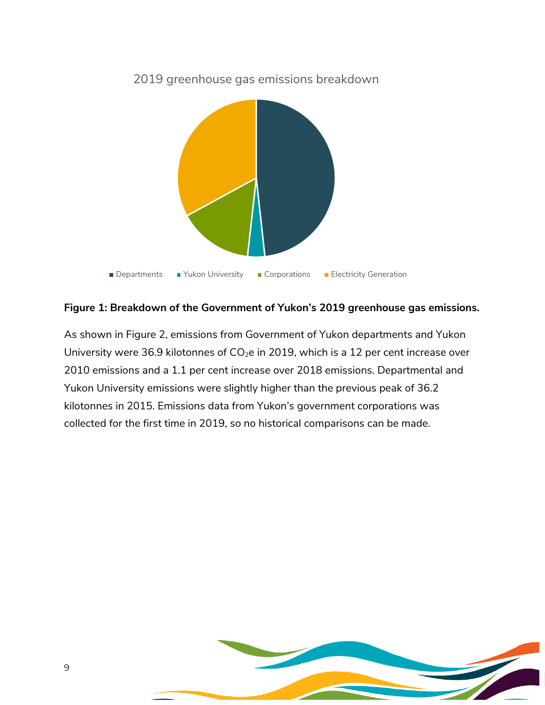

2019 greenhouse gas emissions breakdown

#### <span id="page-9-0"></span>**Figure 1: Breakdown of the Government of Yukon's 2019 greenhouse gas emissions.**

As shown in [Figure 2,](#page-10-1) emissions from Government of Yukon departments and Yukon University were 36.9 kilotonnes of  $CO<sub>2</sub>e$  in 2019, which is a 12 per cent increase over 2010 emissions and a 1.1 per cent increase over 2018 emissions. Departmental and Yukon University emissions were slightly higher than the previous peak of 36.2 kilotonnes in 2015. Emissions data from Yukon's government corporations was collected for the first time in 2019, so no historical comparisons can be made.

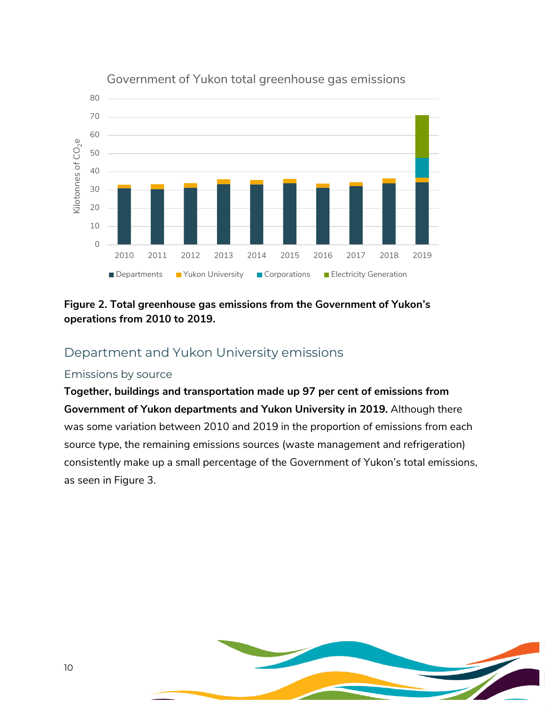

#### Government of Yukon total greenhouse gas emissions

#### <span id="page-10-1"></span>**Figure 2. Total greenhouse gas emissions from the Government of Yukon's operations from 2010 to 2019.**

### <span id="page-10-0"></span>Department and Yukon University emissions

#### Emissions by source

**Together, buildings and transportation made up 97 per cent of emissions from Government of Yukon departments and Yukon University in 2019.** Although there was some variation between 2010 and 2019 in the proportion of emissions from each source type, the remaining emissions sources (waste management and refrigeration) consistently make up a small percentage of the Government of Yukon's total emissions, as seen in [Figure 3.](#page-11-0)

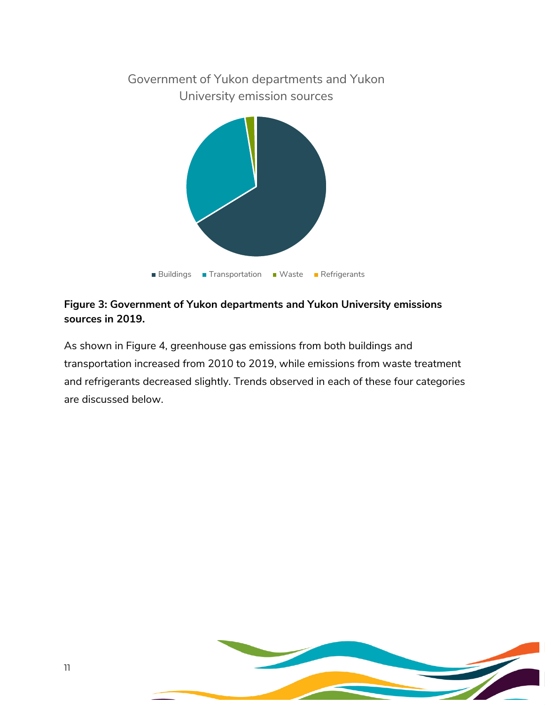

#### <span id="page-11-0"></span>**Figure 3: Government of Yukon departments and Yukon University emissions sources in 2019.**

As shown in [Figure 4](#page-12-0)*,* greenhouse gas emissions from both buildings and transportation increased from 2010 to 2019, while emissions from waste treatment and refrigerants decreased slightly. Trends observed in each of these four categories are discussed below.

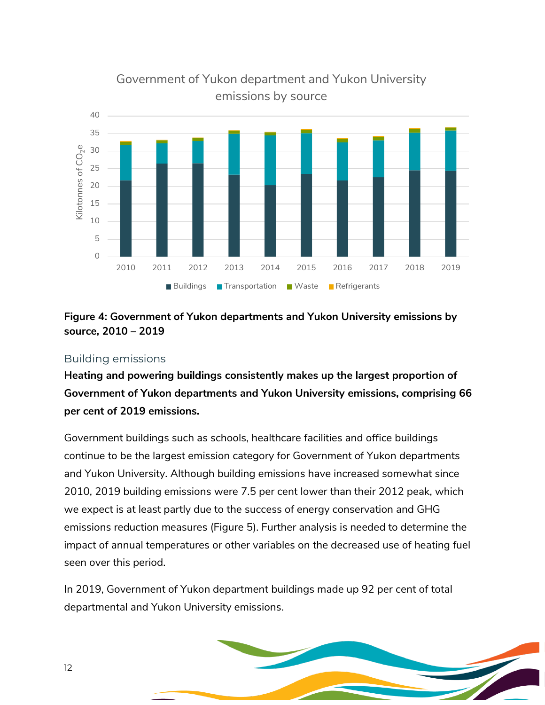

## Government of Yukon department and Yukon University emissions by source

#### <span id="page-12-0"></span>**Figure 4: Government of Yukon departments and Yukon University emissions by source, 2010 – 2019**

#### Building emissions

**Heating and powering buildings consistently makes up the largest proportion of Government of Yukon departments and Yukon University emissions, comprising 66 per cent of 2019 emissions.**

Government buildings such as schools, healthcare facilities and office buildings continue to be the largest emission category for Government of Yukon departments and Yukon University. Although building emissions have increased somewhat since 2010, 2019 building emissions were 7.5 per cent lower than their 2012 peak, which we expect is at least partly due to the success of energy conservation and GHG emissions reduction measures (Figure 5). Further analysis is needed to determine the impact of annual temperatures or other variables on the decreased use of heating fuel seen over this period.

In 2019, Government of Yukon department buildings made up 92 per cent of total departmental and Yukon University emissions.

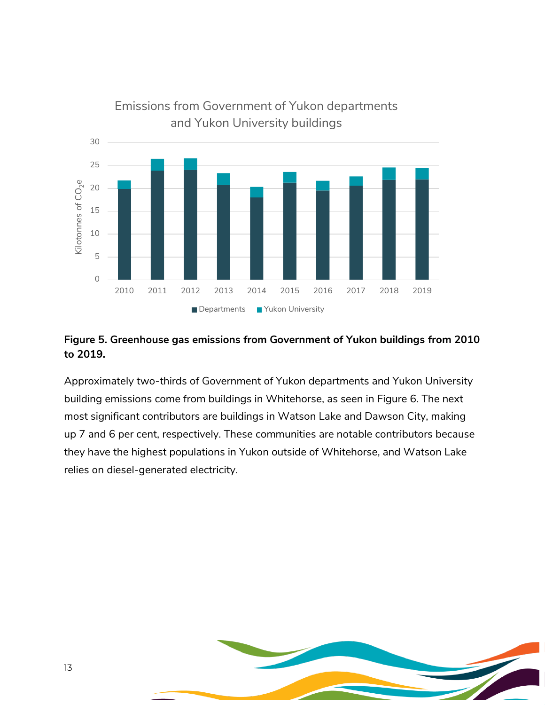

#### **Figure 5. Greenhouse gas emissions from Government of Yukon buildings from 2010 to 2019.**

Approximately two-thirds of Government of Yukon departments and Yukon University building emissions come from buildings in Whitehorse, as seen in Figure 6. The next most significant contributors are buildings in Watson Lake and Dawson City, making up 7 and 6 per cent, respectively. These communities are notable contributors because they have the highest populations in Yukon outside of Whitehorse, and Watson Lake relies on diesel-generated electricity.

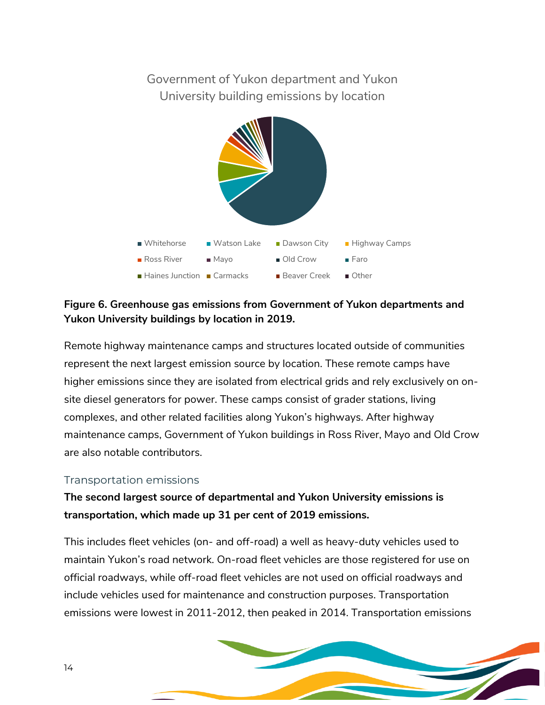## Government of Yukon department and Yukon University building emissions by location



#### **Figure 6. Greenhouse gas emissions from Government of Yukon departments and Yukon University buildings by location in 2019.**

Remote highway maintenance camps and structures located outside of communities represent the next largest emission source by location. These remote camps have higher emissions since they are isolated from electrical grids and rely exclusively on onsite diesel generators for power. These camps consist of grader stations, living complexes, and other related facilities along Yukon's highways. After highway maintenance camps, Government of Yukon buildings in Ross River, Mayo and Old Crow are also notable contributors.

#### Transportation emissions

## **The second largest source of departmental and Yukon University emissions is transportation, which made up 31 per cent of 2019 emissions.**

This includes fleet vehicles (on- and off-road) a well as heavy-duty vehicles used to maintain Yukon's road network. On-road fleet vehicles are those registered for use on official roadways, while off-road fleet vehicles are not used on official roadways and include vehicles used for maintenance and construction purposes. Transportation emissions were lowest in 2011-2012, then peaked in 2014. Transportation emissions

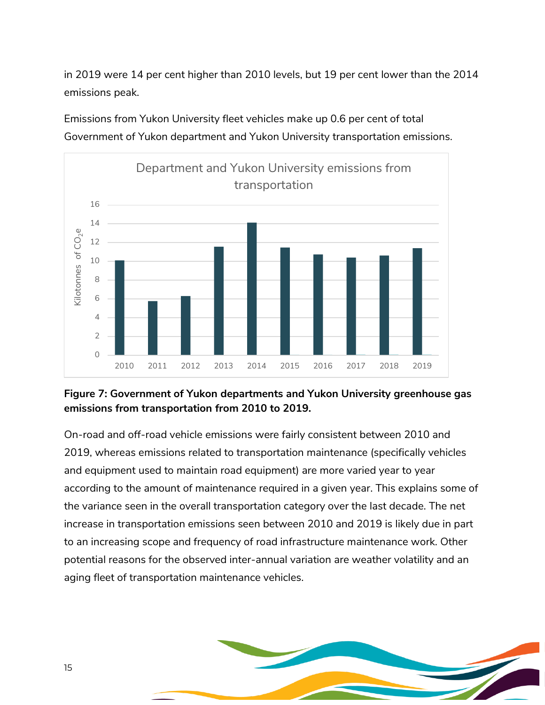in 2019 were 14 per cent higher than 2010 levels, but 19 per cent lower than the 2014 emissions peak.



Emissions from Yukon University fleet vehicles make up 0.6 per cent of total Government of Yukon department and Yukon University transportation emissions.

#### **Figure 7: Government of Yukon departments and Yukon University greenhouse gas emissions from transportation from 2010 to 2019.**

On-road and off-road vehicle emissions were fairly consistent between 2010 and 2019, whereas emissions related to transportation maintenance (specifically vehicles and equipment used to maintain road equipment) are more varied year to year according to the amount of maintenance required in a given year. This explains some of the variance seen in the overall transportation category over the last decade. The net increase in transportation emissions seen between 2010 and 2019 is likely due in part to an increasing scope and frequency of road infrastructure maintenance work. Other potential reasons for the observed inter-annual variation are weather volatility and an aging fleet of transportation maintenance vehicles.

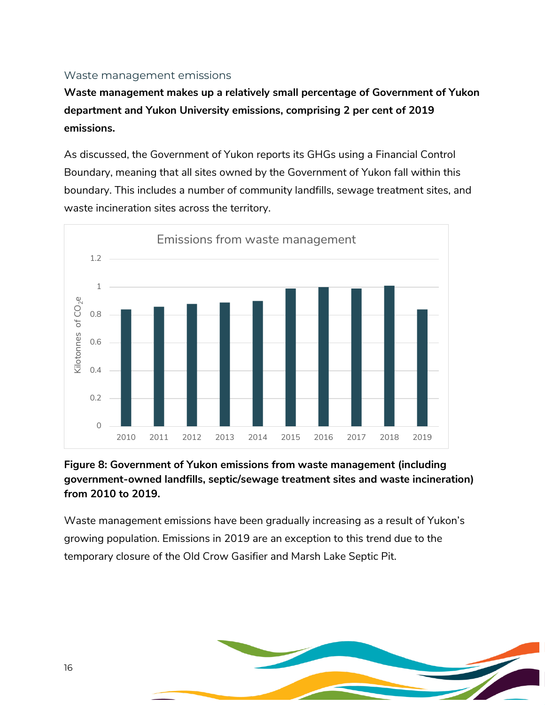#### Waste management emissions

**Waste management makes up a relatively small percentage of Government of Yukon department and Yukon University emissions, comprising 2 per cent of 2019 emissions.** 

As discussed, the Government of Yukon reports its GHGs using a Financial Control Boundary, meaning that all sites owned by the Government of Yukon fall within this boundary. This includes a number of community landfills, sewage treatment sites, and waste incineration sites across the territory.



#### **Figure 8: Government of Yukon emissions from waste management (including government-owned landfills, septic/sewage treatment sites and waste incineration) from 2010 to 2019.**

Waste management emissions have been gradually increasing as a result of Yukon's growing population. Emissions in 2019 are an exception to this trend due to the temporary closure of the Old Crow Gasifier and Marsh Lake Septic Pit.

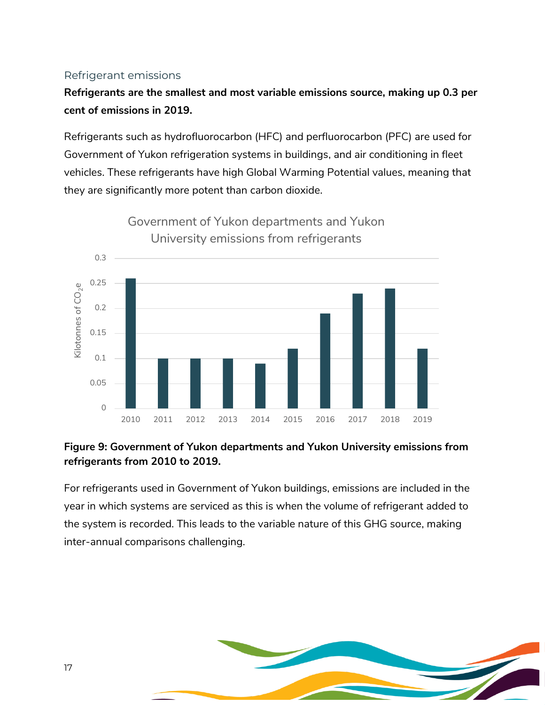#### Refrigerant emissions

**Refrigerants are the smallest and most variable emissions source, making up 0.3 per cent of emissions in 2019.** 

Refrigerants such as hydrofluorocarbon (HFC) and perfluorocarbon (PFC) are used for Government of Yukon refrigeration systems in buildings, and air conditioning in fleet vehicles. These refrigerants have high Global Warming Potential values, meaning that they are significantly more potent than carbon dioxide.



#### **Figure 9: Government of Yukon departments and Yukon University emissions from refrigerants from 2010 to 2019.**

For refrigerants used in Government of Yukon buildings, emissions are included in the year in which systems are serviced as this is when the volume of refrigerant added to the system is recorded. This leads to the variable nature of this GHG source, making inter-annual comparisons challenging.

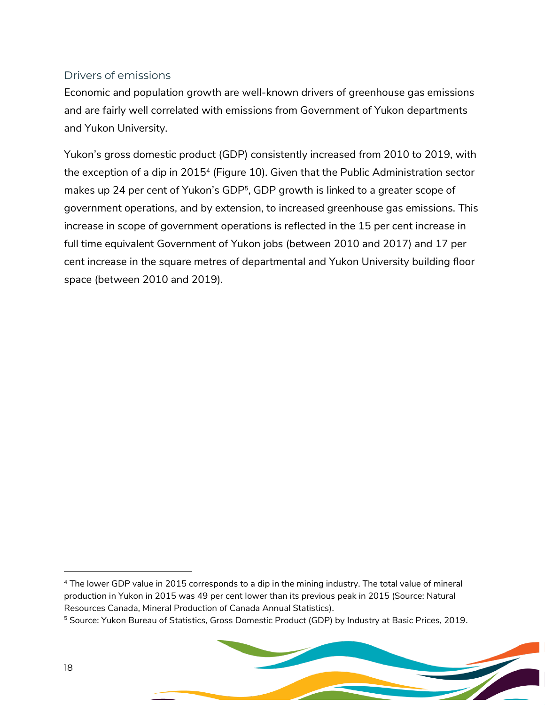#### Drivers of emissions

Economic and population growth are well-known drivers of greenhouse gas emissions and are fairly well correlated with emissions from Government of Yukon departments and Yukon University.

Yukon's gross domestic product (GDP) consistently increased from 2010 to 2019, with the exception of a dip in 2015<sup>4</sup> (Figure 10). Given that the Public Administration sector makes up 24 per cent of Yukon's GDP<sup>5</sup>, GDP growth is linked to a greater scope of government operations, and by extension, to increased greenhouse gas emissions. This increase in scope of government operations is reflected in the 15 per cent increase in full time equivalent Government of Yukon jobs (between 2010 and 2017) and 17 per cent increase in the square metres of departmental and Yukon University building floor space (between 2010 and 2019).

<sup>4</sup> The lower GDP value in 2015 corresponds to a dip in the mining industry. The total value of mineral production in Yukon in 2015 was 49 per cent lower than its previous peak in 2015 (Source: Natural Resources Canada, Mineral Production of Canada Annual Statistics).

<sup>&</sup>lt;sup>5</sup> Source: Yukon Bureau of Statistics, Gross Domestic Product (GDP) by Industry at Basic Prices, 2019.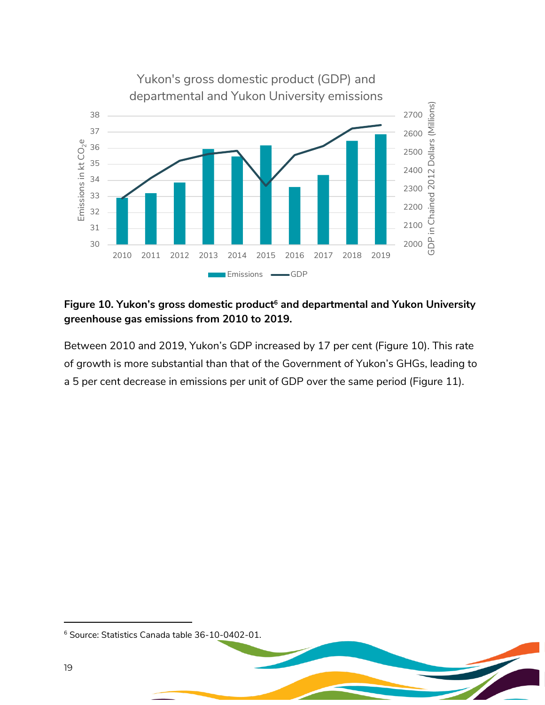

#### <span id="page-19-0"></span>**Figure 10. Yukon's gross domestic product<sup>6</sup> and departmental and Yukon University greenhouse gas emissions from 2010 to 2019.**

Between 2010 and 2019, Yukon's GDP increased by 17 per cent [\(Figure 10\)](#page-19-0). This rate of growth is more substantial than that of the Government of Yukon's GHGs, leading to a 5 per cent decrease in emissions per unit of GDP over the same period [\(Figure 11\)](#page-20-0).

Source: Statistics Canada table 36-10-0402-01.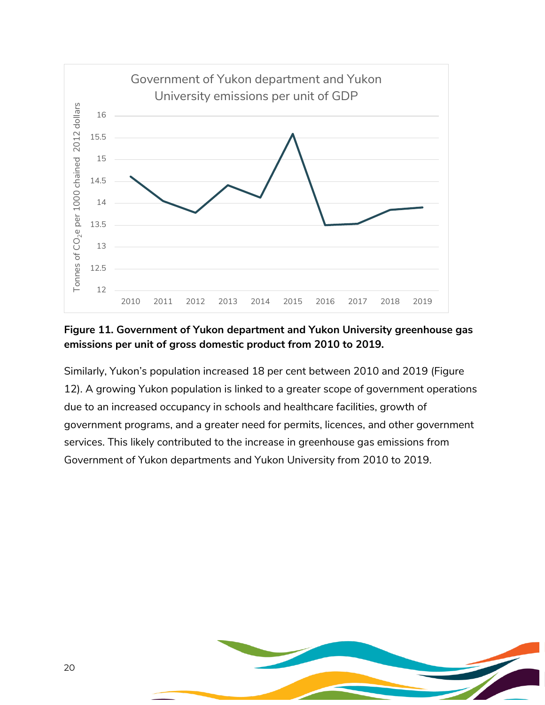

#### <span id="page-20-0"></span>**Figure 11. Government of Yukon department and Yukon University greenhouse gas emissions per unit of gross domestic product from 2010 to 2019.**

Similarly, Yukon's population increased 18 per cent between 2010 and 2019 (Figure 12). A growing Yukon population is linked to a greater scope of government operations due to an increased occupancy in schools and healthcare facilities, growth of government programs, and a greater need for permits, licences, and other government services. This likely contributed to the increase in greenhouse gas emissions from Government of Yukon departments and Yukon University from 2010 to 2019.

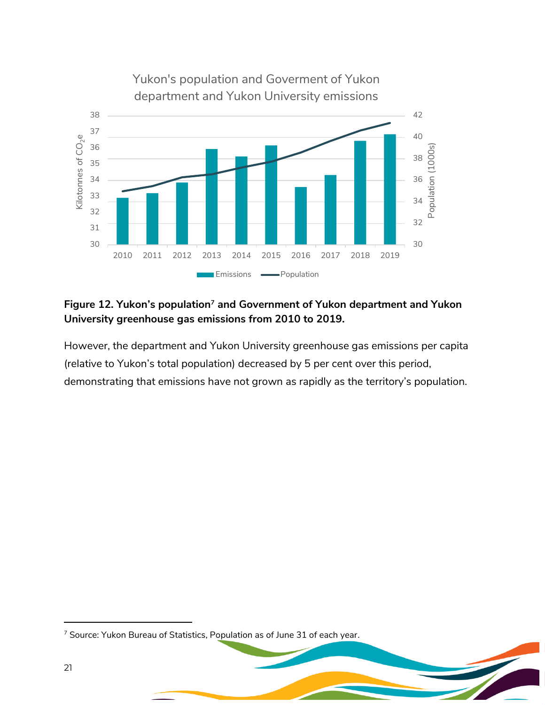

#### **Figure 12. Yukon's population<sup>7</sup> and Government of Yukon department and Yukon University greenhouse gas emissions from 2010 to 2019.**

However, the department and Yukon University greenhouse gas emissions per capita (relative to Yukon's total population) decreased by 5 per cent over this period, demonstrating that emissions have not grown as rapidly as the territory's population.

<sup>&</sup>lt;sup>7</sup> Source: Yukon Bureau of Statistics, Population as of June 31 of each year.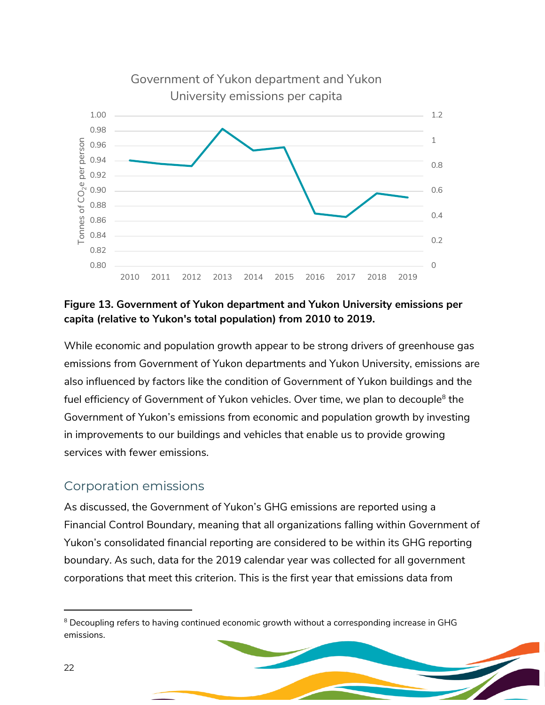

#### **Figure 13. Government of Yukon department and Yukon University emissions per capita (relative to Yukon's total population) from 2010 to 2019.**

While economic and population growth appear to be strong drivers of greenhouse gas emissions from Government of Yukon departments and Yukon University, emissions are also influenced by factors like the condition of Government of Yukon buildings and the fuel efficiency of Government of Yukon vehicles. Over time, we plan to decouple<sup>8</sup> the Government of Yukon's emissions from economic and population growth by investing in improvements to our buildings and vehicles that enable us to provide growing services with fewer emissions.

## <span id="page-22-0"></span>Corporation emissions

As discussed, the Government of Yukon's GHG emissions are reported using a Financial Control Boundary, meaning that all organizations falling within Government of Yukon's consolidated financial reporting are considered to be within its GHG reporting boundary. As such, data for the 2019 calendar year was collected for all government corporations that meet this criterion. This is the first year that emissions data from

<sup>&</sup>lt;sup>8</sup> Decoupling refers to having continued economic growth without a corresponding increase in GHG emissions.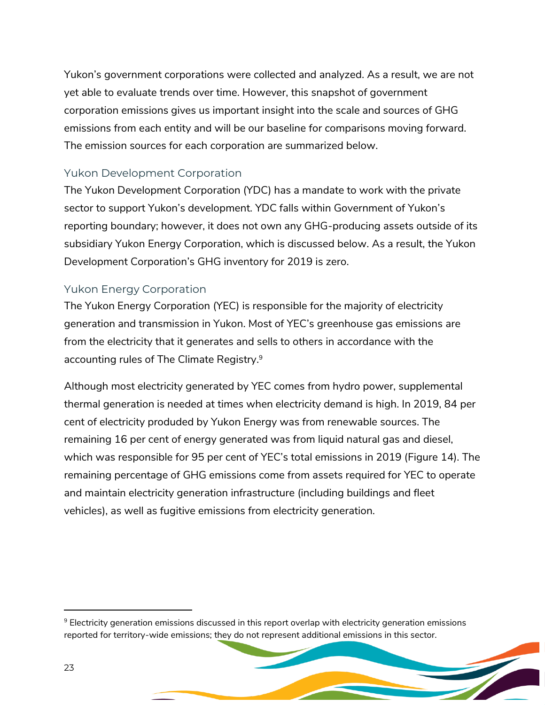Yukon's government corporations were collected and analyzed. As a result, we are not yet able to evaluate trends over time. However, this snapshot of government corporation emissions gives us important insight into the scale and sources of GHG emissions from each entity and will be our baseline for comparisons moving forward. The emission sources for each corporation are summarized below.

#### Yukon Development Corporation

The Yukon Development Corporation (YDC) has a mandate to work with the private sector to support Yukon's development. YDC falls within Government of Yukon's reporting boundary; however, it does not own any GHG-producing assets outside of its subsidiary Yukon Energy Corporation, which is discussed below. As a result, the Yukon Development Corporation's GHG inventory for 2019 is zero.

#### Yukon Energy Corporation

The Yukon Energy Corporation (YEC) is responsible for the majority of electricity generation and transmission in Yukon. Most of YEC's greenhouse gas emissions are from the electricity that it generates and sells to others in accordance with the accounting rules of The Climate Registry. 9

Although most electricity generated by YEC comes from hydro power, supplemental thermal generation is needed at times when electricity demand is high. In 2019, 84 per cent of electricity produded by Yukon Energy was from renewable sources. The remaining 16 per cent of energy generated was from liquid natural gas and diesel, which was responsible for 95 per cent of YEC's total emissions in 2019 ([Figure 14\)](#page-24-0). The remaining percentage of GHG emissions come from assets required for YEC to operate and maintain electricity generation infrastructure (including buildings and fleet vehicles), as well as fugitive emissions from electricity generation.

<sup>9</sup> Electricity generation emissions discussed in this report overlap with electricity generation emissions reported for territory-wide emissions; they do not represent additional emissions in this sector.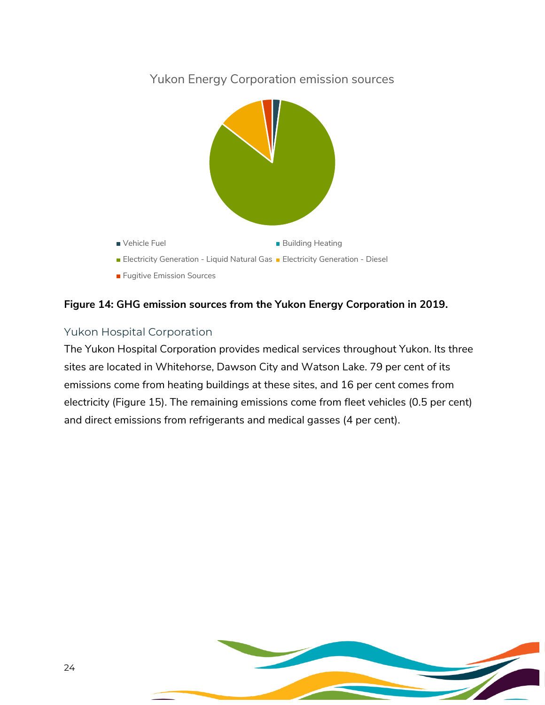

#### <span id="page-24-0"></span>**Figure 14: GHG emission sources from the Yukon Energy Corporation in 2019.**

#### Yukon Hospital Corporation

The Yukon Hospital Corporation provides medical services throughout Yukon. Its three sites are located in Whitehorse, Dawson City and Watson Lake. 79 per cent of its emissions come from heating buildings at these sites, and 16 per cent comes from electricity [\(Figure 15\)](#page-25-0). The remaining emissions come from fleet vehicles (0.5 per cent) and direct emissions from refrigerants and medical gasses (4 per cent).

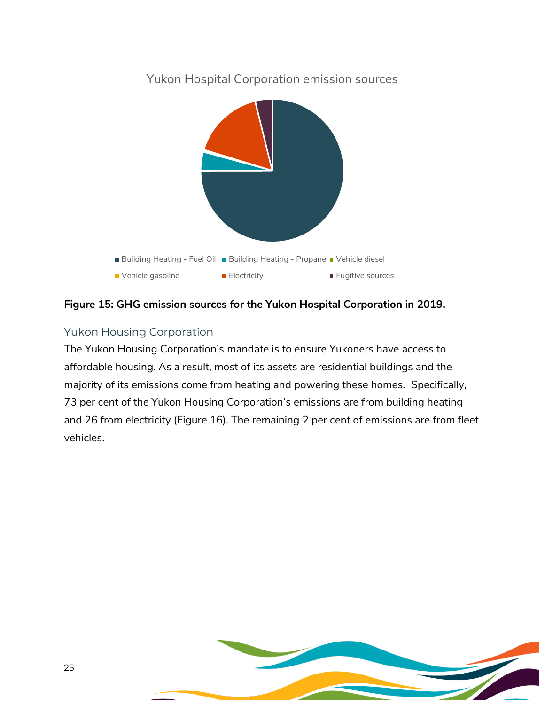

<span id="page-25-0"></span>**Figure 15: GHG emission sources for the Yukon Hospital Corporation in 2019.**

## Yukon Housing Corporation

The Yukon Housing Corporation's mandate is to ensure Yukoners have access to affordable housing. As a result, most of its assets are residential buildings and the majority of its emissions come from heating and powering these homes. Specifically, 73 per cent of the Yukon Housing Corporation's emissions are from building heating and 26 from electricity [\(Figure 16\)](#page-26-1). The remaining 2 per cent of emissions are from fleet vehicles.

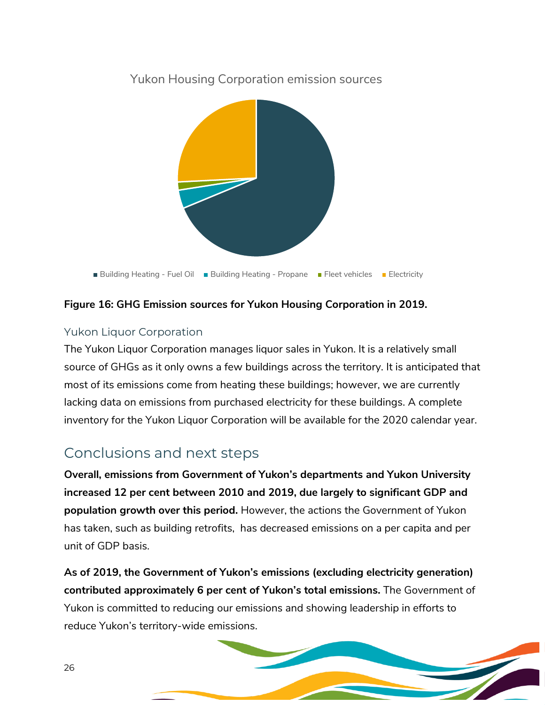

Yukon Housing Corporation emission sources

#### <span id="page-26-1"></span>**Figure 16: GHG Emission sources for Yukon Housing Corporation in 2019.**

#### Yukon Liquor Corporation

The Yukon Liquor Corporation manages liquor sales in Yukon. It is a relatively small source of GHGs as it only owns a few buildings across the territory. It is anticipated that most of its emissions come from heating these buildings; however, we are currently lacking data on emissions from purchased electricity for these buildings. A complete inventory for the Yukon Liquor Corporation will be available for the 2020 calendar year.

## <span id="page-26-0"></span>Conclusions and next steps

**Overall, emissions from Government of Yukon's departments and Yukon University increased 12 per cent between 2010 and 2019, due largely to significant GDP and population growth over this period.** However, the actions the Government of Yukon has taken, such as building retrofits, has decreased emissions on a per capita and per unit of GDP basis.

**As of 2019, the Government of Yukon's emissions (excluding electricity generation) contributed approximately 6 per cent of Yukon's total emissions.** The Government of Yukon is committed to reducing our emissions and showing leadership in efforts to reduce Yukon's territory-wide emissions.